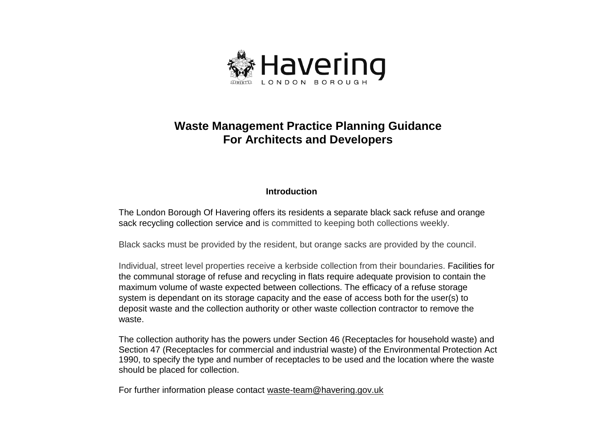

# **Waste Management Practice Planning Guidance For Architects and Developers**

## **Introduction**

The London Borough Of Havering offers its residents a separate black sack refuse and orange sack recycling collection service and is committed to keeping both collections weekly.

Black sacks must be provided by the resident, but orange sacks are provided by the council.

 Individual, street level properties receive a kerbside collection from their boundaries. Facilities for system is dependant on its storage capacity and the ease of access both for the user(s) to deposit waste and the collection authority or other waste collection contractor to remove the the communal storage of refuse and recycling in flats require adequate provision to contain the maximum volume of waste expected between collections. The efficacy of a refuse storage waste.

 1990, to specify the type and number of receptacles to be used and the location where the waste should be placed for collection. The collection authority has the powers under Section 46 (Receptacles for household waste) and Section 47 (Receptacles for commercial and industrial waste) of the Environmental Protection Act

For further information please contact waste-team@havering.gov.uk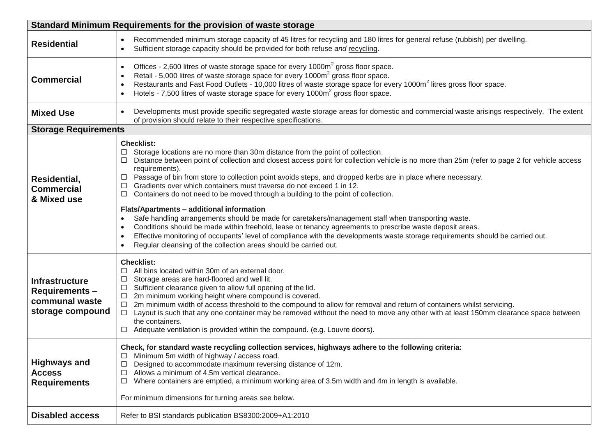| Standard Minimum Requirements for the provision of waste storage                    |                                                                                                                                                                                                                                                                                                                                                                                                                                                                                                                                                                                                                                                                                                                                                                                                                                                                                                                                                                                                                                                                                       |  |  |  |
|-------------------------------------------------------------------------------------|---------------------------------------------------------------------------------------------------------------------------------------------------------------------------------------------------------------------------------------------------------------------------------------------------------------------------------------------------------------------------------------------------------------------------------------------------------------------------------------------------------------------------------------------------------------------------------------------------------------------------------------------------------------------------------------------------------------------------------------------------------------------------------------------------------------------------------------------------------------------------------------------------------------------------------------------------------------------------------------------------------------------------------------------------------------------------------------|--|--|--|
| <b>Residential</b>                                                                  | Recommended minimum storage capacity of 45 litres for recycling and 180 litres for general refuse (rubbish) per dwelling.<br>$\bullet$<br>Sufficient storage capacity should be provided for both refuse and recycling.                                                                                                                                                                                                                                                                                                                                                                                                                                                                                                                                                                                                                                                                                                                                                                                                                                                               |  |  |  |
| <b>Commercial</b>                                                                   | Offices - 2,600 litres of waste storage space for every 1000m <sup>2</sup> gross floor space.<br>$\bullet$<br>Retail - 5,000 litres of waste storage space for every 1000m <sup>2</sup> gross floor space.<br>Restaurants and Fast Food Outlets - 10,000 litres of waste storage space for every 1000m <sup>2</sup> litres gross floor space.<br>$\bullet$<br>Hotels - 7,500 litres of waste storage space for every 1000m <sup>2</sup> gross floor space.                                                                                                                                                                                                                                                                                                                                                                                                                                                                                                                                                                                                                            |  |  |  |
| <b>Mixed Use</b>                                                                    | Developments must provide specific segregated waste storage areas for domestic and commercial waste arisings respectively. The extent<br>$\bullet$<br>of provision should relate to their respective specifications.                                                                                                                                                                                                                                                                                                                                                                                                                                                                                                                                                                                                                                                                                                                                                                                                                                                                  |  |  |  |
| <b>Storage Requirements</b>                                                         |                                                                                                                                                                                                                                                                                                                                                                                                                                                                                                                                                                                                                                                                                                                                                                                                                                                                                                                                                                                                                                                                                       |  |  |  |
| Residential,<br><b>Commercial</b><br>& Mixed use                                    | <b>Checklist:</b><br>Storage locations are no more than 30m distance from the point of collection.<br>Distance between point of collection and closest access point for collection vehicle is no more than 25m (refer to page 2 for vehicle access<br>□<br>requirements).<br>Passage of bin from store to collection point avoids steps, and dropped kerbs are in place where necessary.<br>ப<br>Gradients over which containers must traverse do not exceed 1 in 12.<br>ப<br>Containers do not need to be moved through a building to the point of collection.<br>$\Box$<br>Flats/Apartments - additional information<br>Safe handling arrangements should be made for caretakers/management staff when transporting waste.<br>$\bullet$<br>Conditions should be made within freehold, lease or tenancy agreements to prescribe waste deposit areas.<br>$\bullet$<br>Effective monitoring of occupants' level of compliance with the developments waste storage requirements should be carried out.<br>$\bullet$<br>Regular cleansing of the collection areas should be carried out. |  |  |  |
| <b>Infrastructure</b><br><b>Requirements-</b><br>communal waste<br>storage compound | <b>Checklist:</b><br>All bins located within 30m of an external door.<br>Storage areas are hard-floored and well lit.<br>□<br>Sufficient clearance given to allow full opening of the lid.<br>□<br>2m minimum working height where compound is covered.<br>ப<br>2m minimum width of access threshold to the compound to allow for removal and return of containers whilst servicing.<br>Ц<br>□ Layout is such that any one container may be removed without the need to move any other with at least 150mm clearance space between<br>the containers.<br>Adequate ventilation is provided within the compound. (e.g. Louvre doors).<br>ш                                                                                                                                                                                                                                                                                                                                                                                                                                              |  |  |  |
| <b>Highways and</b><br><b>Access</b><br><b>Requirements</b>                         | Check, for standard waste recycling collection services, highways adhere to the following criteria:<br>Minimum 5m width of highway / access road.<br>$\Box$<br>Designed to accommodate maximum reversing distance of 12m.<br>□<br>Allows a minimum of 4.5m vertical clearance.<br>$\Box$<br>Where containers are emptied, a minimum working area of 3.5m width and 4m in length is available.<br>$\Box$<br>For minimum dimensions for turning areas see below.                                                                                                                                                                                                                                                                                                                                                                                                                                                                                                                                                                                                                        |  |  |  |
| <b>Disabled access</b>                                                              | Refer to BSI standards publication BS8300:2009+A1:2010                                                                                                                                                                                                                                                                                                                                                                                                                                                                                                                                                                                                                                                                                                                                                                                                                                                                                                                                                                                                                                |  |  |  |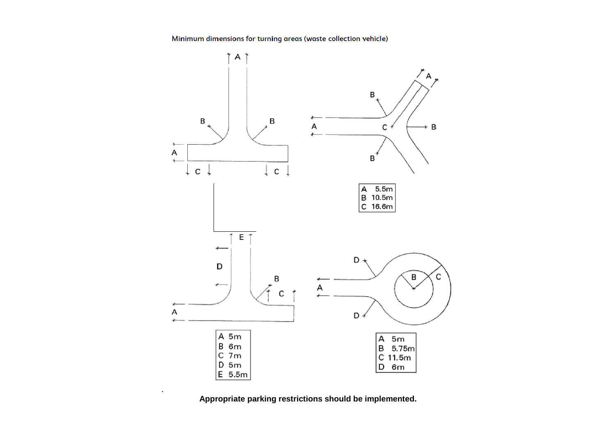Minimum dimensions for turning areas (waste collection vehicle)



 **Appropriate parking restrictions should be implemented.**